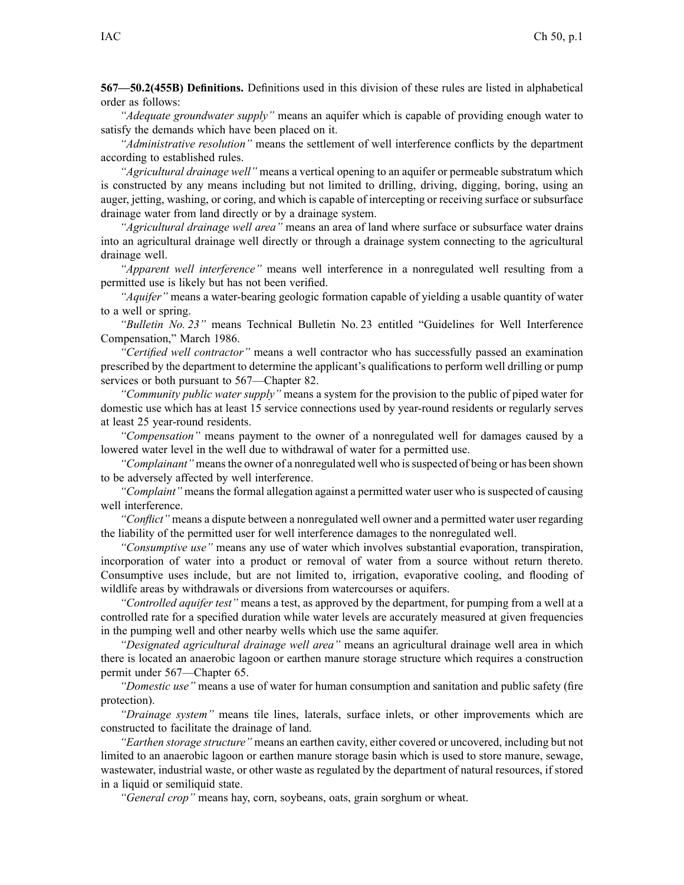**567—50.2(455B) Definitions.** Definitions used in this division of these rules are listed in alphabetical order as follows:

*"Adequate groundwater supply"* means an aquifer which is capable of providing enough water to satisfy the demands which have been placed on it.

*"Administrative resolution"* means the settlement of well interference conflicts by the department according to established rules.

*"Agricultural drainage well"* means <sup>a</sup> vertical opening to an aquifer or permeable substratum which is constructed by any means including but not limited to drilling, driving, digging, boring, using an auger, jetting, washing, or coring, and which is capable of intercepting or receiving surface or subsurface drainage water from land directly or by <sup>a</sup> drainage system.

*"Agricultural drainage well area"* means an area of land where surface or subsurface water drains into an agricultural drainage well directly or through <sup>a</sup> drainage system connecting to the agricultural drainage well.

*"Apparent well interference"* means well interference in <sup>a</sup> nonregulated well resulting from <sup>a</sup> permitted use is likely but has not been verified.

*"Aquifer"* means <sup>a</sup> water-bearing geologic formation capable of yielding <sup>a</sup> usable quantity of water to <sup>a</sup> well or spring.

*"Bulletin No. 23"* means Technical Bulletin No. 23 entitled "Guidelines for Well Interference Compensation," March 1986.

*"Certified well contractor"* means <sup>a</sup> well contractor who has successfully passed an examination prescribed by the department to determine the applicant's qualifications to perform well drilling or pump services or both pursuan<sup>t</sup> to 567—Chapter 82.

*"Community public water supply"* means <sup>a</sup> system for the provision to the public of piped water for domestic use which has at least 15 service connections used by year-round residents or regularly serves at least 25 year-round residents.

*"Compensation"* means paymen<sup>t</sup> to the owner of <sup>a</sup> nonregulated well for damages caused by <sup>a</sup> lowered water level in the well due to withdrawal of water for <sup>a</sup> permitted use.

*"Complainant"* means the owner of a nonregulated well who is suspected of being or has been shown to be adversely affected by well interference.

*"Complaint"* means the formal allegation against <sup>a</sup> permitted water user who is suspected of causing well interference.

*"Conflict"* means <sup>a</sup> dispute between <sup>a</sup> nonregulated well owner and <sup>a</sup> permitted water user regarding the liability of the permitted user for well interference damages to the nonregulated well.

*"Consumptive use"* means any use of water which involves substantial evaporation, transpiration, incorporation of water into <sup>a</sup> product or removal of water from <sup>a</sup> source without return thereto. Consumptive uses include, but are not limited to, irrigation, evaporative cooling, and flooding of wildlife areas by withdrawals or diversions from watercourses or aquifers.

*"Controlled aquifer test"* means <sup>a</sup> test, as approved by the department, for pumping from <sup>a</sup> well at <sup>a</sup> controlled rate for <sup>a</sup> specified duration while water levels are accurately measured at given frequencies in the pumping well and other nearby wells which use the same aquifer.

*"Designated agricultural drainage well area"* means an agricultural drainage well area in which there is located an anaerobic lagoon or earthen manure storage structure which requires <sup>a</sup> construction permit under 567—Chapter 65.

*"Domestic use"* means <sup>a</sup> use of water for human consumption and sanitation and public safety (fire protection).

*"Drainage system"* means tile lines, laterals, surface inlets, or other improvements which are constructed to facilitate the drainage of land.

*"Earthen storage structure"* means an earthen cavity, either covered or uncovered, including but not limited to an anaerobic lagoon or earthen manure storage basin which is used to store manure, sewage, wastewater, industrial waste, or other waste as regulated by the department of natural resources, if stored in <sup>a</sup> liquid or semiliquid state.

*"General crop"* means hay, corn, soybeans, oats, grain sorghum or wheat.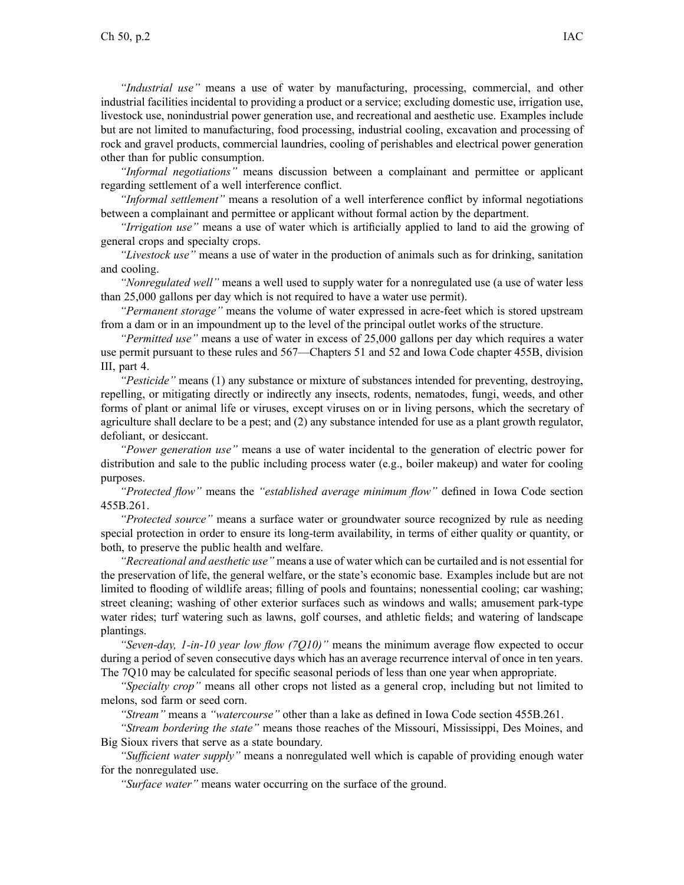*"Industrial use"* means <sup>a</sup> use of water by manufacturing, processing, commercial, and other industrial facilities incidental to providing <sup>a</sup> product or <sup>a</sup> service; excluding domestic use, irrigation use, livestock use, nonindustrial power generation use, and recreational and aesthetic use. Examples include but are not limited to manufacturing, food processing, industrial cooling, excavation and processing of rock and gravel products, commercial laundries, cooling of perishables and electrical power generation other than for public consumption.

*"Informal negotiations"* means discussion between <sup>a</sup> complainant and permittee or applicant regarding settlement of <sup>a</sup> well interference conflict.

*"Informal settlement"* means <sup>a</sup> resolution of <sup>a</sup> well interference conflict by informal negotiations between <sup>a</sup> complainant and permittee or applicant without formal action by the department.

*"Irrigation use"* means <sup>a</sup> use of water which is artificially applied to land to aid the growing of general crops and specialty crops.

*"Livestock use"* means <sup>a</sup> use of water in the production of animals such as for drinking, sanitation and cooling.

*"Nonregulated well"* means <sup>a</sup> well used to supply water for <sup>a</sup> nonregulated use (a use of water less than 25,000 gallons per day which is not required to have <sup>a</sup> water use permit).

*"Permanent storage"* means the volume of water expressed in acre-feet which is stored upstream from <sup>a</sup> dam or in an impoundment up to the level of the principal outlet works of the structure.

*"Permitted use"* means <sup>a</sup> use of water in excess of 25,000 gallons per day which requires <sup>a</sup> water use permit pursuan<sup>t</sup> to these rules and 567—Chapters 51 and 52 and Iowa Code chapter 455B, division III, par<sup>t</sup> 4.

*"Pesticide"* means (1) any substance or mixture of substances intended for preventing, destroying, repelling, or mitigating directly or indirectly any insects, rodents, nematodes, fungi, weeds, and other forms of plant or animal life or viruses, excep<sup>t</sup> viruses on or in living persons, which the secretary of agriculture shall declare to be <sup>a</sup> pest; and (2) any substance intended for use as <sup>a</sup> plant growth regulator, defoliant, or desiccant.

*"Power generation use"* means <sup>a</sup> use of water incidental to the generation of electric power for distribution and sale to the public including process water (e.g., boiler makeup) and water for cooling purposes.

*"Protected flow"* means the *"established average minimum flow"* defined in Iowa Code section 455B.261.

*"Protected source"* means <sup>a</sup> surface water or groundwater source recognized by rule as needing special protection in order to ensure its long-term availability, in terms of either quality or quantity, or both, to preserve the public health and welfare.

*"Recreational and aesthetic use"* means <sup>a</sup> use of water which can be curtailed and is not essential for the preservation of life, the general welfare, or the state's economic base. Examples include but are not limited to flooding of wildlife areas; filling of pools and fountains; nonessential cooling; car washing; street cleaning; washing of other exterior surfaces such as windows and walls; amusement park-type water rides; turf watering such as lawns, golf courses, and athletic fields; and watering of landscape plantings.

*"Seven-day, 1-in-10 year low flow (7Q10)"* means the minimum average flow expected to occur during <sup>a</sup> period of seven consecutive days which has an average recurrence interval of once in ten years. The 7Q10 may be calculated for specific seasonal periods of less than one year when appropriate.

*"Specialty crop"* means all other crops not listed as <sup>a</sup> general crop, including but not limited to melons, sod farm or seed corn.

*"Stream"* means <sup>a</sup> *"watercourse"* other than <sup>a</sup> lake as defined in Iowa Code section 455B.261.

*"Stream bordering the state"* means those reaches of the Missouri, Mississippi, Des Moines, and Big Sioux rivers that serve as <sup>a</sup> state boundary.

*"Sufficient water supply"* means <sup>a</sup> nonregulated well which is capable of providing enough water for the nonregulated use.

*"Surface water"* means water occurring on the surface of the ground.